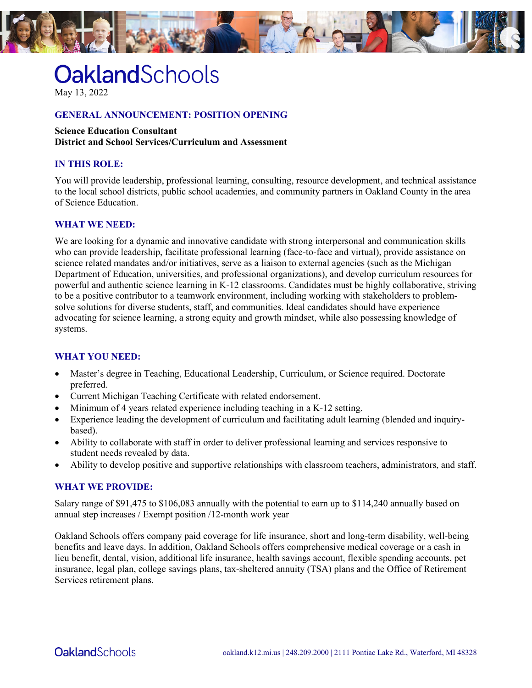

# **OaklandSchools**

May 13, 2022

## **GENERAL ANNOUNCEMENT: POSITION OPENING**

#### **Science Education Consultant**

**District and School Services/Curriculum and Assessment**

## **IN THIS ROLE:**

You will provide leadership, professional learning, consulting, resource development, and technical assistance to the local school districts, public school academies, and community partners in Oakland County in the area of Science Education.

## **WHAT WE NEED:**

We are looking for a dynamic and innovative candidate with strong interpersonal and communication skills who can provide leadership, facilitate professional learning (face-to-face and virtual), provide assistance on science related mandates and/or initiatives, serve as a liaison to external agencies (such as the Michigan Department of Education, universities, and professional organizations), and develop curriculum resources for powerful and authentic science learning in K-12 classrooms. Candidates must be highly collaborative, striving to be a positive contributor to a teamwork environment, including working with stakeholders to problemsolve solutions for diverse students, staff, and communities. Ideal candidates should have experience advocating for science learning, a strong equity and growth mindset, while also possessing knowledge of systems.

## **WHAT YOU NEED:**

- Master's degree in Teaching, Educational Leadership, Curriculum, or Science required. Doctorate preferred.
- Current Michigan Teaching Certificate with related endorsement.
- Minimum of 4 years related experience including teaching in a K-12 setting.
- Experience leading the development of curriculum and facilitating adult learning (blended and inquirybased).
- Ability to collaborate with staff in order to deliver professional learning and services responsive to student needs revealed by data.
- Ability to develop positive and supportive relationships with classroom teachers, administrators, and staff.

#### **WHAT WE PROVIDE:**

Salary range of \$91,475 to \$106,083 annually with the potential to earn up to \$114,240 annually based on annual step increases / Exempt position /12-month work year

Oakland Schools offers company paid coverage for life insurance, short and long-term disability, well-being benefits and leave days. In addition, Oakland Schools offers comprehensive medical coverage or a cash in lieu benefit, dental, vision, additional life insurance, health savings account, flexible spending accounts, pet insurance, legal plan, college savings plans, tax-sheltered annuity (TSA) plans and the Office of Retirement Services retirement plans.